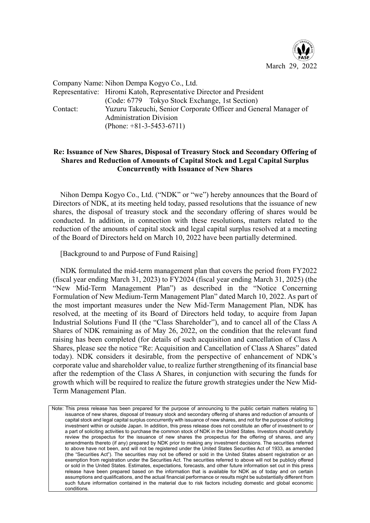

Company Name: Nihon Dempa Kogyo Co., Ltd. Representative: Hiromi Katoh, Representative Director and President (Code: 6779 Tokyo Stock Exchange, 1st Section) Contact: Yuzuru Takeuchi, Senior Corporate Officer and General Manager of Administration Division (Phone: +81-3-5453-6711)

## **Re: Issuance of New Shares, Disposal of Treasury Stock and Secondary Offering of Shares and Reduction of Amounts of Capital Stock and Legal Capital Surplus Concurrently with Issuance of New Shares**

Nihon Dempa Kogyo Co., Ltd. ("NDK" or "we") hereby announces that the Board of Directors of NDK, at its meeting held today, passed resolutions that the issuance of new shares, the disposal of treasury stock and the secondary offering of shares would be conducted. In addition, in connection with these resolutions, matters related to the reduction of the amounts of capital stock and legal capital surplus resolved at a meeting of the Board of Directors held on March 10, 2022 have been partially determined.

[Background to and Purpose of Fund Raising]

NDK formulated the mid-term management plan that covers the period from FY2022 (fiscal year ending March 31, 2023) to FY2024 (fiscal year ending March 31, 2025) (the "New Mid-Term Management Plan") as described in the "Notice Concerning Formulation of New Medium-Term Management Plan" dated March 10, 2022. As part of the most important measures under the New Mid-Term Management Plan, NDK has resolved, at the meeting of its Board of Directors held today, to acquire from Japan Industrial Solutions Fund II (the "Class Shareholder"), and to cancel all of the Class A Shares of NDK remaining as of May 26, 2022, on the condition that the relevant fund raising has been completed (for details of such acquisition and cancellation of Class A Shares, please see the notice "Re: Acquisition and Cancellation of Class A Shares" dated today). NDK considers it desirable, from the perspective of enhancement of NDK's corporate value and shareholder value, to realize further strengthening of its financial base after the redemption of the Class A Shares, in conjunction with securing the funds for growth which will be required to realize the future growth strategies under the New Mid-Term Management Plan.

Note: This press release has been prepared for the purpose of announcing to the public certain matters relating to issuance of new shares, disposal of treasury stock and secondary offering of shares and reduction of amounts of capital stock and legal capital surplus concurrently with issuance of new shares, and not for the purpose of soliciting investment within or outside Japan. In addition, this press release does not constitute an offer of investment to or a part of soliciting activities to purchase the common stock of NDK in the United States. Investors should carefully review the prospectus for the issuance of new shares the prospectus for the offering of shares, and any amendments thereto (if any) prepared by NDK prior to making any investment decisions. The securities referred to above have not been, and will not be registered under the United States Securities Act of 1933, as amended (the "Securities Act"). The securities may not be offered or sold in the United States absent registration or an exemption from registration under the Securities Act. The securities referred to above will not be publicly offered or sold in the United States. Estimates, expectations, forecasts, and other future information set out in this press release have been prepared based on the information that is available for NDK as of today and on certain assumptions and qualifications, and the actual financial performance or results might be substantially different from such future information contained in the material due to risk factors including domestic and global economic conditions.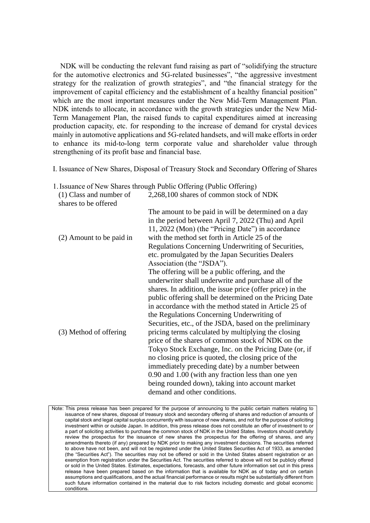NDK will be conducting the relevant fund raising as part of "solidifying the structure for the automotive electronics and 5G-related businesses", "the aggressive investment strategy for the realization of growth strategies", and "the financial strategy for the improvement of capital efficiency and the establishment of a healthy financial position" which are the most important measures under the New Mid-Term Management Plan. NDK intends to allocate, in accordance with the growth strategies under the New Mid-Term Management Plan, the raised funds to capital expenditures aimed at increasing production capacity, etc. for responding to the increase of demand for crystal devices mainly in automotive applications and 5G-related handsets, and will make efforts in order to enhance its mid-to-long term corporate value and shareholder value through strengthening of its profit base and financial base.

I. Issuance of New Shares, Disposal of Treasury Stock and Secondary Offering of Shares

|  |  | 1. Issuance of New Shares through Public Offering (Public Offering) |
|--|--|---------------------------------------------------------------------|
|  |  |                                                                     |

| (1) Class and number of<br>shares to be offered | 2,268,100 shares of common stock of NDK                                                                                                                                                                                                                                                                                                                                                                                                                                                                                                                                                                                                                                                                                                                                                                                                                  |
|-------------------------------------------------|----------------------------------------------------------------------------------------------------------------------------------------------------------------------------------------------------------------------------------------------------------------------------------------------------------------------------------------------------------------------------------------------------------------------------------------------------------------------------------------------------------------------------------------------------------------------------------------------------------------------------------------------------------------------------------------------------------------------------------------------------------------------------------------------------------------------------------------------------------|
| (2) Amount to be paid in                        | The amount to be paid in will be determined on a day<br>in the period between April 7, 2022 (Thu) and April<br>11, 2022 (Mon) (the "Pricing Date") in accordance<br>with the method set forth in Article 25 of the<br>Regulations Concerning Underwriting of Securities,<br>etc. promulgated by the Japan Securities Dealers                                                                                                                                                                                                                                                                                                                                                                                                                                                                                                                             |
| (3) Method of offering                          | Association (the "JSDA").<br>The offering will be a public offering, and the<br>underwriter shall underwrite and purchase all of the<br>shares. In addition, the issue price (offer price) in the<br>public offering shall be determined on the Pricing Date<br>in accordance with the method stated in Article 25 of<br>the Regulations Concerning Underwriting of<br>Securities, etc., of the JSDA, based on the preliminary<br>pricing terms calculated by multiplying the closing<br>price of the shares of common stock of NDK on the<br>Tokyo Stock Exchange, Inc. on the Pricing Date (or, if<br>no closing price is quoted, the closing price of the<br>immediately preceding date) by a number between<br>0.90 and 1.00 (with any fraction less than one yen<br>being rounded down), taking into account market<br>demand and other conditions. |

Note: This press release has been prepared for the purpose of announcing to the public certain matters relating to issuance of new shares, disposal of treasury stock and secondary offering of shares and reduction of amounts of capital stock and legal capital surplus concurrently with issuance of new shares, and not for the purpose of soliciting investment within or outside Japan. In addition, this press release does not constitute an offer of investment to or a part of soliciting activities to purchase the common stock of NDK in the United States. Investors should carefully review the prospectus for the issuance of new shares the prospectus for the offering of shares, and any amendments thereto (if any) prepared by NDK prior to making any investment decisions. The securities referred to above have not been, and will not be registered under the United States Securities Act of 1933, as amended (the "Securities Act"). The securities may not be offered or sold in the United States absent registration or an exemption from registration under the Securities Act. The securities referred to above will not be publicly offered or sold in the United States. Estimates, expectations, forecasts, and other future information set out in this press release have been prepared based on the information that is available for NDK as of today and on certain assumptions and qualifications, and the actual financial performance or results might be substantially different from such future information contained in the material due to risk factors including domestic and global economic conditions.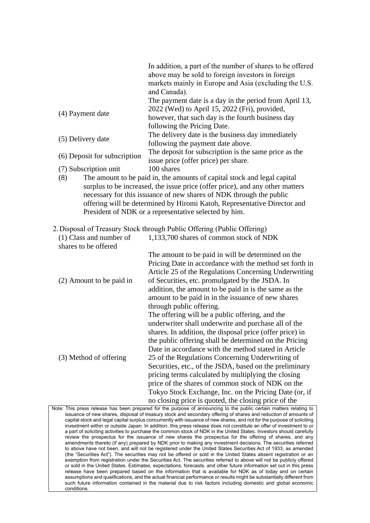|                              | In addition, a part of the number of shares to be offered<br>above may be sold to foreign investors in foreign |
|------------------------------|----------------------------------------------------------------------------------------------------------------|
|                              | markets mainly in Europe and Asia (excluding the U.S.<br>and Canada).                                          |
|                              | The payment date is a day in the period from April 13,                                                         |
| (4) Payment date             | 2022 (Wed) to April 15, 2022 (Fri), provided,                                                                  |
|                              | however, that such day is the fourth business day                                                              |
|                              | following the Pricing Date.                                                                                    |
|                              | The delivery date is the business day immediately                                                              |
| (5) Delivery date            | following the payment date above.                                                                              |
|                              | The deposit for subscription is the same price as the                                                          |
| (6) Deposit for subscription | issue price (offer price) per share.                                                                           |
| (7) Subscription unit        | 100 shares                                                                                                     |

(8) The amount to be paid in, the amounts of capital stock and legal capital surplus to be increased, the issue price (offer price), and any other matters necessary for this issuance of new shares of NDK through the public offering will be determined by Hiromi Katoh, Representative Director and President of NDK or a representative selected by him.

2.Disposal of Treasury Stock through Public Offering (Public Offering)

| (1) Class and number of  | 1,133,700 shares of common stock of NDK                  |
|--------------------------|----------------------------------------------------------|
| shares to be offered     |                                                          |
|                          | The amount to be paid in will be determined on the       |
|                          | Pricing Date in accordance with the method set forth in  |
|                          | Article 25 of the Regulations Concerning Underwriting    |
| (2) Amount to be paid in | of Securities, etc. promulgated by the JSDA. In          |
|                          | addition, the amount to be paid in is the same as the    |
|                          | amount to be paid in in the issuance of new shares       |
|                          | through public offering.                                 |
|                          | The offering will be a public offering, and the          |
|                          | underwriter shall underwrite and purchase all of the     |
|                          | shares. In addition, the disposal price (offer price) in |
|                          | the public offering shall be determined on the Pricing   |
|                          | Date in accordance with the method stated in Article     |
| (3) Method of offering   | 25 of the Regulations Concerning Underwriting of         |
|                          | Securities, etc., of the JSDA, based on the preliminary  |
|                          | pricing terms calculated by multiplying the closing      |
|                          | price of the shares of common stock of NDK on the        |
|                          | Tokyo Stock Exchange, Inc. on the Pricing Date (or, if   |
|                          | no closing price is quoted, the closing price of the     |

Note: This press release has been prepared for the purpose of announcing to the public certain matters relating to issuance of new shares, disposal of treasury stock and secondary offering of shares and reduction of amounts of capital stock and legal capital surplus concurrently with issuance of new shares, and not for the purpose of soliciting investment within or outside Japan. In addition, this press release does not constitute an offer of investment to or a part of soliciting activities to purchase the common stock of NDK in the United States. Investors should carefully review the prospectus for the issuance of new shares the prospectus for the offering of shares, and any amendments thereto (if any) prepared by NDK prior to making any investment decisions. The securities referred to above have not been, and will not be registered under the United States Securities Act of 1933, as amended (the "Securities Act"). The securities may not be offered or sold in the United States absent registration or an exemption from registration under the Securities Act. The securities referred to above will not be publicly offered or sold in the United States. Estimates, expectations, forecasts, and other future information set out in this press release have been prepared based on the information that is available for NDK as of today and on certain assumptions and qualifications, and the actual financial performance or results might be substantially different from such future information contained in the material due to risk factors including domestic and global economic conditions.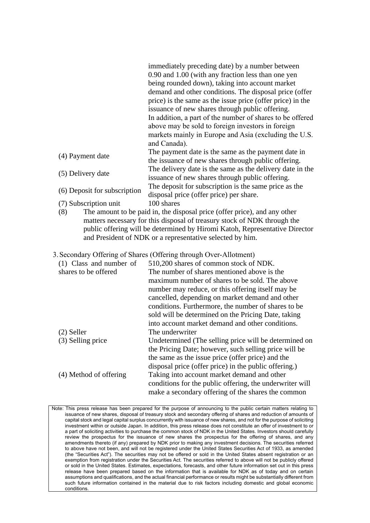|                              | immediately preceding date) by a number between                           |
|------------------------------|---------------------------------------------------------------------------|
|                              | 0.90 and 1.00 (with any fraction less than one yen                        |
|                              | being rounded down), taking into account market                           |
|                              | demand and other conditions. The disposal price (offer                    |
|                              | price) is the same as the issue price (offer price) in the                |
|                              | issuance of new shares through public offering.                           |
|                              | In addition, a part of the number of shares to be offered                 |
|                              | above may be sold to foreign investors in foreign                         |
|                              | markets mainly in Europe and Asia (excluding the U.S.                     |
|                              | and Canada).                                                              |
| (4) Payment date             | The payment date is the same as the payment date in                       |
|                              | the issuance of new shares through public offering.                       |
| (5) Delivery date            | The delivery date is the same as the delivery date in the                 |
|                              | issuance of new shares through public offering.                           |
| (6) Deposit for subscription | The deposit for subscription is the same price as the                     |
|                              | disposal price (offer price) per share.                                   |
| (7) Subscription unit        | 100 shares                                                                |
| (8)                          | The amount to be paid in, the disposal price (offer price), and any other |

- matters necessary for this disposal of treasury stock of NDK through the public offering will be determined by Hiromi Katoh, Representative Director and President of NDK or a representative selected by him.
- 3.Secondary Offering of Shares (Offering through Over-Allotment)

| (1) Class and number of | 510,200 shares of common stock of NDK.                   |
|-------------------------|----------------------------------------------------------|
| shares to be offered    | The number of shares mentioned above is the              |
|                         | maximum number of shares to be sold. The above           |
|                         | number may reduce, or this offering itself may be        |
|                         | cancelled, depending on market demand and other          |
|                         | conditions. Furthermore, the number of shares to be      |
|                         | sold will be determined on the Pricing Date, taking      |
|                         | into account market demand and other conditions.         |
| $(2)$ Seller            | The underwriter                                          |
| (3) Selling price       | Undetermined (The selling price will be determined on    |
|                         | the Pricing Date; however, such selling price will be    |
|                         | the same as the issue price (offer price) and the        |
|                         | disposal price (offer price) in the public offering.)    |
| (4) Method of offering  | Taking into account market demand and other              |
|                         | conditions for the public offering, the underwriter will |
|                         | make a secondary offering of the shares the common       |
|                         |                                                          |

Note: This press release has been prepared for the purpose of announcing to the public certain matters relating to issuance of new shares, disposal of treasury stock and secondary offering of shares and reduction of amounts of capital stock and legal capital surplus concurrently with issuance of new shares, and not for the purpose of soliciting investment within or outside Japan. In addition, this press release does not constitute an offer of investment to or a part of soliciting activities to purchase the common stock of NDK in the United States. Investors should carefully review the prospectus for the issuance of new shares the prospectus for the offering of shares, and any amendments thereto (if any) prepared by NDK prior to making any investment decisions. The securities referred to above have not been, and will not be registered under the United States Securities Act of 1933, as amended (the "Securities Act"). The securities may not be offered or sold in the United States absent registration or an exemption from registration under the Securities Act. The securities referred to above will not be publicly offered or sold in the United States. Estimates, expectations, forecasts, and other future information set out in this press release have been prepared based on the information that is available for NDK as of today and on certain assumptions and qualifications, and the actual financial performance or results might be substantially different from such future information contained in the material due to risk factors including domestic and global economic conditions.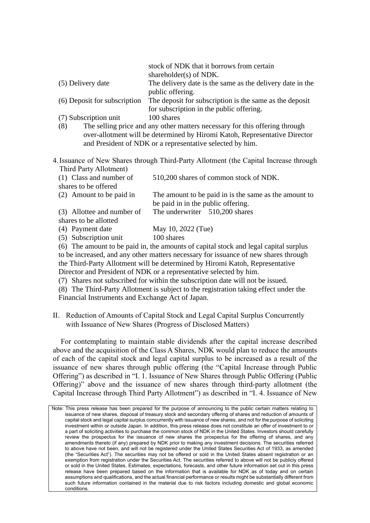|                              | stock of NDK that it borrows from certain<br>shareholder(s) of NDK. |
|------------------------------|---------------------------------------------------------------------|
| (5) Delivery date            | The delivery date is the same as the delivery date in the           |
|                              | public offering.                                                    |
| (6) Deposit for subscription | The deposit for subscription is the same as the deposit             |
|                              | for subscription in the public offering.                            |
| (7) Subscription unit        | 100 shares                                                          |

- (8) The selling price and any other matters necessary for this offering through over-allotment will be determined by Hiromi Katoh, Representative Director and President of NDK or a representative selected by him.
- 4.Issuance of New Shares through Third-Party Allotment (the Capital Increase through Third Party Allotment)

| (1) Class and number of    | 510,200 shares of common stock of NDK.                |
|----------------------------|-------------------------------------------------------|
| shares to be offered       |                                                       |
| (2) Amount to be paid in   | The amount to be paid in is the same as the amount to |
|                            | be paid in in the public offering.                    |
| (3) Allottee and number of | The underwriter 510,200 shares                        |
| shares to be allotted      |                                                       |
| (4) Payment date           | May 10, 2022 (Tue)                                    |
| (5) Subscription unit      | 100 shares                                            |

(6) The amount to be paid in, the amounts of capital stock and legal capital surplus to be increased, and any other matters necessary for issuance of new shares through the Third-Party Allotment will be determined by Hiromi Katoh, Representative Director and President of NDK or a representative selected by him.

(7) Shares not subscribed for within the subscription date will not be issued.

(8) The Third-Party Allotment is subject to the registration taking effect under the Financial Instruments and Exchange Act of Japan.

II. Reduction of Amounts of Capital Stock and Legal Capital Surplus Concurrently with Issuance of New Shares (Progress of Disclosed Matters)

For contemplating to maintain stable dividends after the capital increase described above and the acquisition of the Class A Shares, NDK would plan to reduce the amounts of each of the capital stock and legal capital surplus to be increased as a result of the issuance of new shares through public offering (the "Capital Increase through Public Offering") as described in "I. 1. Issuance of New Shares through Public Offering (Public Offering)" above and the issuance of new shares through third-party allotment (the Capital Increase through Third Party Allotment") as described in "I. 4. Issuance of New

Note: This press release has been prepared for the purpose of announcing to the public certain matters relating to issuance of new shares, disposal of treasury stock and secondary offering of shares and reduction of amounts of capital stock and legal capital surplus concurrently with issuance of new shares, and not for the purpose of soliciting investment within or outside Japan. In addition, this press release does not constitute an offer of investment to or a part of soliciting activities to purchase the common stock of NDK in the United States. Investors should carefully review the prospectus for the issuance of new shares the prospectus for the offering of shares, and any amendments thereto (if any) prepared by NDK prior to making any investment decisions. The securities referred to above have not been, and will not be registered under the United States Securities Act of 1933, as amended (the "Securities Act"). The securities may not be offered or sold in the United States absent registration or an exemption from registration under the Securities Act. The securities referred to above will not be publicly offered or sold in the United States. Estimates, expectations, forecasts, and other future information set out in this press release have been prepared based on the information that is available for NDK as of today and on certain assumptions and qualifications, and the actual financial performance or results might be substantially different from such future information contained in the material due to risk factors including domestic and global economic conditions.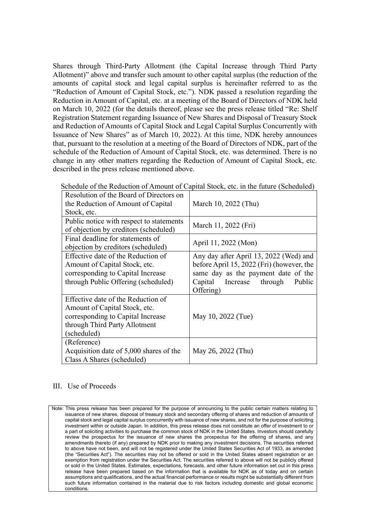Shares through Third-Party Allotment (the Capital Increase through Third Party Allotment)" above and transfer such amount to other capital surplus (the reduction of the amounts of capital stock and legal capital surplus is hereinafter referred to as the "Reduction of Amount of Capital Stock, etc."). NDK passed a resolution regarding the Reduction in Amount of Capital, etc. at a meeting of the Board of Directors of NDK held on March 10, 2022 (for the details thereof, please see the press release titled "Re: Shelf Registration Statement regarding Issuance of New Shares and Disposal of Treasury Stock and Reduction of Amounts of Capital Stock and Legal Capital Surplus Concurrently with Issuance of New Shares" as of March 10, 2022). At this time, NDK hereby announces that, pursuant to the resolution at a meeting of the Board of Directors of NDK, part of the schedule of the Reduction of Amount of Capital Stock, etc. was determined. There is no change in any other matters regarding the Reduction of Amount of Capital Stock, etc. described in the press release mentioned above.

| Resolution of the Board of Directors on  |                                           |
|------------------------------------------|-------------------------------------------|
| the Reduction of Amount of Capital       | March 10, 2022 (Thu)                      |
| Stock, etc.                              |                                           |
| Public notice with respect to statements | March 11, 2022 (Fri)                      |
| of objection by creditors (scheduled)    |                                           |
| Final deadline for statements of         | April 11, 2022 (Mon)                      |
| objection by creditors (scheduled)       |                                           |
| Effective date of the Reduction of       | Any day after April 13, 2022 (Wed) and    |
| Amount of Capital Stock, etc.            | before April 15, 2022 (Fri) (however, the |
| corresponding to Capital Increase        | same day as the payment date of the       |
| through Public Offering (scheduled)      | Capital Increase through<br>Public        |
|                                          | Offering)                                 |
| Effective date of the Reduction of       |                                           |
| Amount of Capital Stock, etc.            |                                           |
| corresponding to Capital Increase        | May 10, 2022 (Tue)                        |
| through Third Party Allotment            |                                           |
| (scheduled)                              |                                           |
| (Reference)                              |                                           |
| Acquisition date of 5,000 shares of the  | May 26, 2022 (Thu)                        |
| Class A Shares (scheduled)               |                                           |

Schedule of the Reduction of Amount of Capital Stock, etc. in the future (Scheduled)

## III. Use of Proceeds

Note: This press release has been prepared for the purpose of announcing to the public certain matters relating to issuance of new shares, disposal of treasury stock and secondary offering of shares and reduction of amounts of capital stock and legal capital surplus concurrently with issuance of new shares, and not for the purpose of soliciting investment within or outside Japan. In addition, this press release does not constitute an offer of investment to or a part of soliciting activities to purchase the common stock of NDK in the United States. Investors should carefully review the prospectus for the issuance of new shares the prospectus for the offering of shares, and any amendments thereto (if any) prepared by NDK prior to making any investment decisions. The securities referred to above have not been, and will not be registered under the United States Securities Act of 1933, as amended (the "Securities Act"). The securities may not be offered or sold in the United States absent registration or an exemption from registration under the Securities Act. The securities referred to above will not be publicly offered or sold in the United States. Estimates, expectations, forecasts, and other future information set out in this press release have been prepared based on the information that is available for NDK as of today and on certain assumptions and qualifications, and the actual financial performance or results might be substantially different from such future information contained in the material due to risk factors including domestic and global economic conditions.